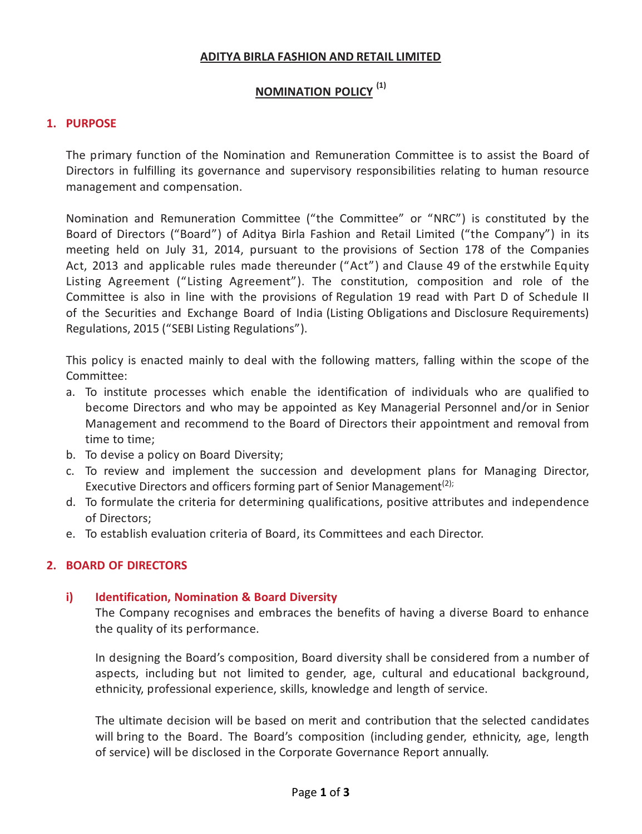# **ADITYA BIRLA FASHION AND RETAIL LIMITED**

# **NOMINATION POLICY (1)**

# **1. PURPOSE**

The primary function of the Nomination and Remuneration Committee is to assist the Board of Directors in fulfilling its governance and supervisory responsibilities relating to human resource management and compensation.

Nomination and Remuneration Committee ("the Committee" or "NRC") is constituted by the Board of Directors ("Board") of Aditya Birla Fashion and Retail Limited ("the Company") in its meeting held on July 31, 2014, pursuant to the provisions of Section 178 of the Companies Act, 2013 and applicable rules made thereunder ("Act") and Clause 49 of the erstwhile Equity Listing Agreement ("Listing Agreement"). The constitution, composition and role of the Committee is also in line with the provisions of Regulation 19 read with Part D of Schedule II of the Securities and Exchange Board of India (Listing Obligations and Disclosure Requirements) Regulations, 2015 ("SEBI Listing Regulations").

This policy is enacted mainly to deal with the following matters, falling within the scope of the Committee:

- a. To institute processes which enable the identification of individuals who are qualified to become Directors and who may be appointed as Key Managerial Personnel and/or in Senior Management and recommend to the Board of Directors their appointment and removal from time to time;
- b. To devise a policy on Board Diversity;
- c. To review and implement the succession and development plans for Managing Director, Executive Directors and officers forming part of Senior Management<sup>(2);</sup>
- d. To formulate the criteria for determining qualifications, positive attributes and independence of Directors;
- e. To establish evaluation criteria of Board, its Committees and each Director.

# **2. BOARD OF DIRECTORS**

# **i) Identification, Nomination & Board Diversity**

The Company recognises and embraces the benefits of having a diverse Board to enhance the quality of its performance.

In designing the Board's composition, Board diversity shall be considered from a number of aspects, including but not limited to gender, age, cultural and educational background, ethnicity, professional experience, skills, knowledge and length of service.

The ultimate decision will be based on merit and contribution that the selected candidates will bring to the Board. The Board's composition (including gender, ethnicity, age, length of service) will be disclosed in the Corporate Governance Report annually.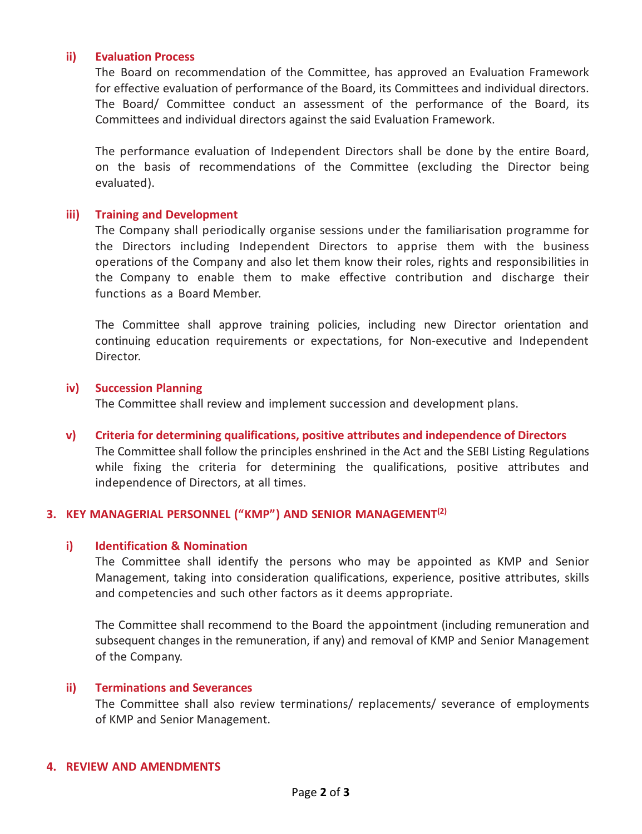### **ii) Evaluation Process**

The Board on recommendation of the Committee, has approved an Evaluation Framework for effective evaluation of performance of the Board, its Committees and individual directors. The Board/ Committee conduct an assessment of the performance of the Board, its Committees and individual directors against the said Evaluation Framework.

The performance evaluation of Independent Directors shall be done by the entire Board, on the basis of recommendations of the Committee (excluding the Director being evaluated).

### **iii) Training and Development**

The Company shall periodically organise sessions under the familiarisation programme for the Directors including Independent Directors to apprise them with the business operations of the Company and also let them know their roles, rights and responsibilities in the Company to enable them to make effective contribution and discharge their functions as a Board Member.

The Committee shall approve training policies, including new Director orientation and continuing education requirements or expectations, for Non-executive and Independent Director.

#### **iv) Succession Planning**

The Committee shall review and implement succession and development plans.

**v) Criteria for determining qualifications, positive attributes and independence of Directors**

The Committee shall follow the principles enshrined in the Act and the SEBI Listing Regulations while fixing the criteria for determining the qualifications, positive attributes and independence of Directors, at all times.

### **3. KEY MANAGERIAL PERSONNEL ("KMP") AND SENIOR MANAGEMENT(2)**

#### **i) Identification & Nomination**

The Committee shall identify the persons who may be appointed as KMP and Senior Management, taking into consideration qualifications, experience, positive attributes, skills and competencies and such other factors as it deems appropriate.

The Committee shall recommend to the Board the appointment (including remuneration and subsequent changes in the remuneration, if any) and removal of KMP and Senior Management of the Company.

### **ii) Terminations and Severances**

The Committee shall also review terminations/ replacements/ severance of employments of KMP and Senior Management.

#### **4. REVIEW AND AMENDMENTS**